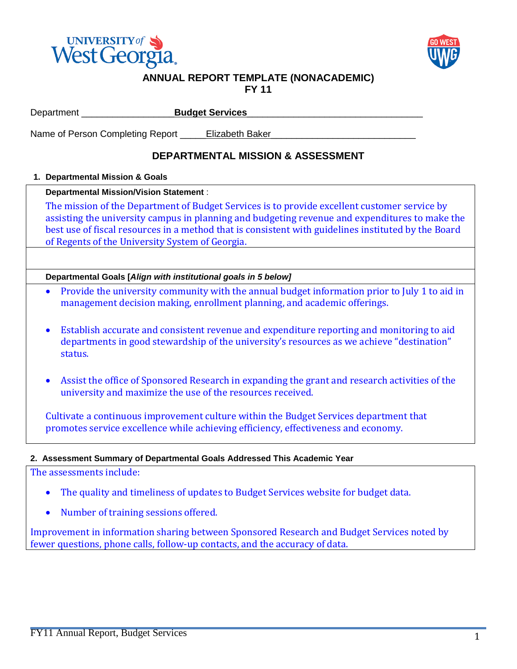



# **ANNUAL REPORT TEMPLATE (NONACADEMIC)**

**FY 11**

|                                                                                                                                                                                                                                                                                                                                                                                                     | <b>Budget Services</b><br>Department ______________                                                                                                                                               |  |  |  |  |  |
|-----------------------------------------------------------------------------------------------------------------------------------------------------------------------------------------------------------------------------------------------------------------------------------------------------------------------------------------------------------------------------------------------------|---------------------------------------------------------------------------------------------------------------------------------------------------------------------------------------------------|--|--|--|--|--|
| Name of Person Completing Report _____ Elizabeth Baker                                                                                                                                                                                                                                                                                                                                              |                                                                                                                                                                                                   |  |  |  |  |  |
|                                                                                                                                                                                                                                                                                                                                                                                                     | <b>DEPARTMENTAL MISSION &amp; ASSESSMENT</b>                                                                                                                                                      |  |  |  |  |  |
|                                                                                                                                                                                                                                                                                                                                                                                                     | 1. Departmental Mission & Goals                                                                                                                                                                   |  |  |  |  |  |
| Departmental Mission/Vision Statement :<br>The mission of the Department of Budget Services is to provide excellent customer service by<br>assisting the university campus in planning and budgeting revenue and expenditures to make the<br>best use of fiscal resources in a method that is consistent with guidelines instituted by the Board<br>of Regents of the University System of Georgia. |                                                                                                                                                                                                   |  |  |  |  |  |
|                                                                                                                                                                                                                                                                                                                                                                                                     |                                                                                                                                                                                                   |  |  |  |  |  |
|                                                                                                                                                                                                                                                                                                                                                                                                     | Departmental Goals [Align with institutional goals in 5 below]                                                                                                                                    |  |  |  |  |  |
| $\bullet$                                                                                                                                                                                                                                                                                                                                                                                           | Provide the university community with the annual budget information prior to July 1 to aid in<br>management decision making, enrollment planning, and academic offerings.                         |  |  |  |  |  |
| $\bullet$                                                                                                                                                                                                                                                                                                                                                                                           | Establish accurate and consistent revenue and expenditure reporting and monitoring to aid<br>departments in good stewardship of the university's resources as we achieve "destination"<br>status. |  |  |  |  |  |
| $\bullet$                                                                                                                                                                                                                                                                                                                                                                                           | Assist the office of Sponsored Research in expanding the grant and research activities of the<br>university and maximize the use of the resources received.                                       |  |  |  |  |  |
| Cultivate a continuous improvement culture within the Budget Services department that<br>promotes service excellence while achieving efficiency, effectiveness and economy.                                                                                                                                                                                                                         |                                                                                                                                                                                                   |  |  |  |  |  |
| 2. Assessment Summary of Departmental Goals Addressed This Academic Year                                                                                                                                                                                                                                                                                                                            |                                                                                                                                                                                                   |  |  |  |  |  |
| The assessments include:                                                                                                                                                                                                                                                                                                                                                                            |                                                                                                                                                                                                   |  |  |  |  |  |
| The quality and timeliness of updates to Budget Services website for budget data.<br>$\bullet$                                                                                                                                                                                                                                                                                                      |                                                                                                                                                                                                   |  |  |  |  |  |
| $\bullet$                                                                                                                                                                                                                                                                                                                                                                                           | Number of training sessions offered.                                                                                                                                                              |  |  |  |  |  |

Improvement in information sharing between Sponsored Research and Budget Services noted by fewer questions, phone calls, follow-up contacts, and the accuracy of data.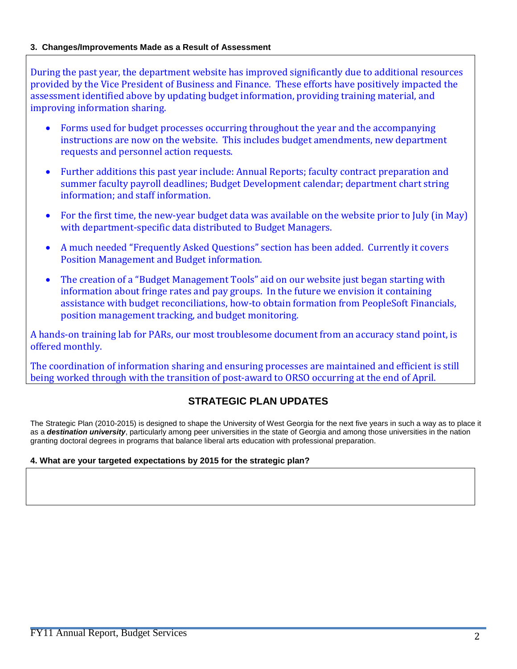### **3. Changes/Improvements Made as a Result of Assessment**

During the past year, the department website has improved significantly due to additional resources provided by the Vice President of Business and Finance. These efforts have positively impacted the assessment identified above by updating budget information, providing training material, and improving information sharing.

- Forms used for budget processes occurring throughout the year and the accompanying instructions are now on the website. This includes budget amendments, new department requests and personnel action requests.
- Further additions this past year include: Annual Reports; faculty contract preparation and summer faculty payroll deadlines; Budget Development calendar; department chart string information; and staff information.
- For the first time, the new-year budget data was available on the website prior to July (in May) with department-specific data distributed to Budget Managers.
- A much needed "Frequently Asked Questions" section has been added. Currently it covers Position Management and Budget information.
- The creation of a "Budget Management Tools" aid on our website just began starting with information about fringe rates and pay groups. In the future we envision it containing assistance with budget reconciliations, how-to obtain formation from PeopleSoft Financials, position management tracking, and budget monitoring.

A hands-on training lab for PARs, our most troublesome document from an accuracy stand point, is offered monthly.

The coordination of information sharing and ensuring processes are maintained and efficient is still being worked through with the transition of post-award to ORSO occurring at the end of April.

# **STRATEGIC PLAN UPDATES**

The Strategic Plan (2010-2015) is designed to shape the University of West Georgia for the next five years in such a way as to place it as a *destination university*, particularly among peer universities in the state of Georgia and among those universities in the nation granting doctoral degrees in programs that balance liberal arts education with professional preparation.

### **4. What are your targeted expectations by 2015 for the strategic plan?**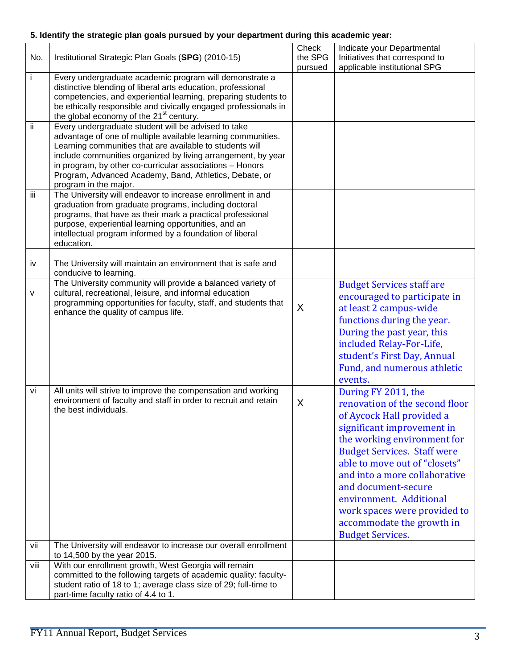## **5. Identify the strategic plan goals pursued by your department during this academic year:**

| No.  | Institutional Strategic Plan Goals (SPG) (2010-15)                                                                                                                                                                                                                                                                                                                                             | Check<br>the SPG<br>pursued | Indicate your Departmental<br>Initiatives that correspond to<br>applicable institutional SPG                                                                                                                                                                                                                                                                                                      |
|------|------------------------------------------------------------------------------------------------------------------------------------------------------------------------------------------------------------------------------------------------------------------------------------------------------------------------------------------------------------------------------------------------|-----------------------------|---------------------------------------------------------------------------------------------------------------------------------------------------------------------------------------------------------------------------------------------------------------------------------------------------------------------------------------------------------------------------------------------------|
| İ.   | Every undergraduate academic program will demonstrate a<br>distinctive blending of liberal arts education, professional<br>competencies, and experiential learning, preparing students to<br>be ethically responsible and civically engaged professionals in<br>the global economy of the 21 <sup>st</sup> century.                                                                            |                             |                                                                                                                                                                                                                                                                                                                                                                                                   |
| ii.  | Every undergraduate student will be advised to take<br>advantage of one of multiple available learning communities.<br>Learning communities that are available to students will<br>include communities organized by living arrangement, by year<br>in program, by other co-curricular associations - Honors<br>Program, Advanced Academy, Band, Athletics, Debate, or<br>program in the major. |                             |                                                                                                                                                                                                                                                                                                                                                                                                   |
| iii  | The University will endeavor to increase enrollment in and<br>graduation from graduate programs, including doctoral<br>programs, that have as their mark a practical professional<br>purpose, experiential learning opportunities, and an<br>intellectual program informed by a foundation of liberal<br>education.                                                                            |                             |                                                                                                                                                                                                                                                                                                                                                                                                   |
| iv   | The University will maintain an environment that is safe and<br>conducive to learning.                                                                                                                                                                                                                                                                                                         |                             |                                                                                                                                                                                                                                                                                                                                                                                                   |
| v    | The University community will provide a balanced variety of<br>cultural, recreational, leisure, and informal education<br>programming opportunities for faculty, staff, and students that<br>enhance the quality of campus life.                                                                                                                                                               | X                           | <b>Budget Services staff are</b><br>encouraged to participate in<br>at least 2 campus-wide<br>functions during the year.<br>During the past year, this<br>included Relay-For-Life,<br>student's First Day, Annual<br>Fund, and numerous athletic<br>events.                                                                                                                                       |
| vi   | All units will strive to improve the compensation and working<br>environment of faculty and staff in order to recruit and retain<br>the best individuals.                                                                                                                                                                                                                                      | X                           | During FY 2011, the<br>renovation of the second floor<br>of Aycock Hall provided a<br>significant improvement in<br>the working environment for<br><b>Budget Services. Staff were</b><br>able to move out of "closets"<br>and into a more collaborative<br>and document-secure<br>environment. Additional<br>work spaces were provided to<br>accommodate the growth in<br><b>Budget Services.</b> |
| vii  | The University will endeavor to increase our overall enrollment<br>to 14,500 by the year 2015.                                                                                                                                                                                                                                                                                                 |                             |                                                                                                                                                                                                                                                                                                                                                                                                   |
| viii | With our enrollment growth, West Georgia will remain<br>committed to the following targets of academic quality: faculty-<br>student ratio of 18 to 1; average class size of 29; full-time to<br>part-time faculty ratio of 4.4 to 1.                                                                                                                                                           |                             |                                                                                                                                                                                                                                                                                                                                                                                                   |